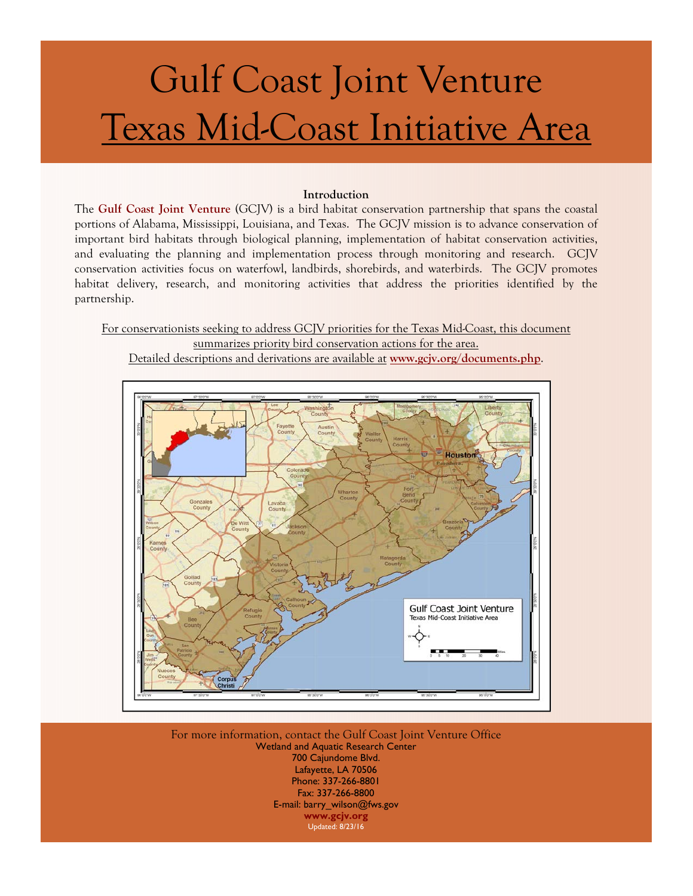# Gulf Coast Joint Venture Texas Mid-Coast Initiative Area

#### **Introduction**

The **[Gulf Coast Joint Venture](http://www.gcjv.org)** (GCJV) is a bird habitat conservation partnership that spans the coastal portions of Alabama, Mississippi, Louisiana, and Texas. The GCJV mission is to advance conservation of important bird habitats through biological planning, implementation of habitat conservation activities, and evaluating the planning and implementation process through monitoring and research. GCJV conservation activities focus on waterfowl, landbirds, shorebirds, and waterbirds. The GCJV promotes habitat delivery, research, and monitoring activities that address the priorities identified by the partnership.

For conservationists seeking to address GCJV priorities for the Texas Mid-Coast, this document summarizes priority bird conservation actions for the area.

Detailed descriptions and derivations are available at **[www.gcjv.org/documents.php](http://www.gcjv.org/documents.php)**.



For more information, contact the Gulf Coast Joint Venture Office Wetland and Aquatic Research Center 700 Cajundome Blvd. Lafayette, LA 70506 Phone: 337-266-8801 Fax: 337-266-8800 E-mail: barry\_wilson@fws.gov **[www.gcjv.org](http://www.gcjv.org)**  Updated: 8/23/16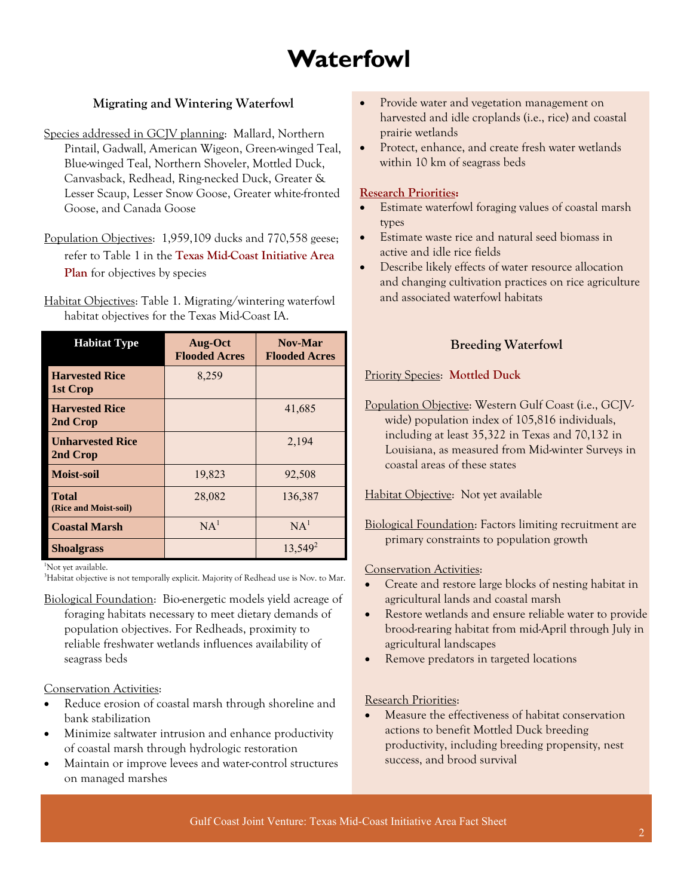## **Waterfowl**

### **Migrating and Wintering Waterfowl**

- Species addressed in GCJV planning: Mallard, Northern Pintail, Gadwall, American Wigeon, Green-winged Teal, Blue-winged Teal, Northern Shoveler, Mottled Duck, Canvasback, Redhead, Ring-necked Duck, Greater & Lesser Scaup, Lesser Snow Goose, Greater white-fronted Goose, and Canada Goose
- Population Objectives: 1,959,109 ducks and 770,558 geese; refer to Table 1 in the **[Texas Mid-Coast Initiative Area](http://www.gcjv.org/docs/TXMidCoastpub.pdf)  [Plan](http://www.gcjv.org/docs/TXMidCoastpub.pdf)** for objectives by species

Habitat Objectives: Table 1. Migrating/wintering waterfowl habitat objectives for the Texas Mid-Coast IA.

| <b>Habitat Type</b>                   | Aug-Oct<br><b>Flooded Acres</b> | Nov-Mar<br><b>Flooded Acres</b> |
|---------------------------------------|---------------------------------|---------------------------------|
| <b>Harvested Rice</b><br>1st Crop     | 8,259                           |                                 |
| <b>Harvested Rice</b><br>2nd Crop     |                                 | 41,685                          |
| <b>Unharvested Rice</b><br>2nd Crop   |                                 | 2,194                           |
| <b>Moist-soil</b>                     | 19,823                          | 92,508                          |
| <b>Total</b><br>(Rice and Moist-soil) | 28,082                          | 136,387                         |
| <b>Coastal Marsh</b>                  | NA <sup>1</sup>                 | NA <sup>1</sup>                 |
| <b>Shoalgrass</b>                     |                                 | $13,549^2$                      |

1 Not yet available.

<sup>3</sup>Habitat objective is not temporally explicit. Majority of Redhead use is Nov. to Mar.

Biological Foundation: Bio-energetic models yield acreage of foraging habitats necessary to meet dietary demands of population objectives. For Redheads, proximity to reliable freshwater wetlands influences availability of seagrass beds

#### Conservation Activities:

- Reduce erosion of coastal marsh through shoreline and bank stabilization
- Minimize saltwater intrusion and enhance productivity of coastal marsh through hydrologic restoration
- Maintain or improve levees and water-control structures on managed marshes
- Provide water and vegetation management on harvested and idle croplands (i.e., rice) and coastal prairie wetlands
- Protect, enhance, and create fresh water wetlands within 10 km of seagrass beds

#### **[Research Priorities:](http://www.gcjv.org/docs/GCJV%20Waterfowl%20Science%20Needs%20Plan%20-%20May%202012.pdf)**

- Estimate waterfowl foraging values of coastal marsh types
- Estimate waste rice and natural seed biomass in active and idle rice fields
- Describe likely effects of water resource allocation and changing cultivation practices on rice agriculture and associated waterfowl habitats

### **Breeding Waterfowl**

Priority Species: **[Mottled Duck](http://www.gcjv.org/docs/GCJV MODU Cons Plan.pdf)**

Population Objective: Western Gulf Coast (i.e., GCJVwide) population index of 105,816 individuals, including at least 35,322 in Texas and 70,132 in Louisiana, as measured from Mid-winter Surveys in coastal areas of these states

Habitat Objective: Not yet available

Biological Foundation: Factors limiting recruitment are primary constraints to population growth

#### Conservation Activities:

- Create and restore large blocks of nesting habitat in agricultural lands and coastal marsh
- Restore wetlands and ensure reliable water to provide brood-rearing habitat from mid-April through July in agricultural landscapes
- Remove predators in targeted locations

#### Research Priorities:

 Measure the effectiveness of habitat conservation actions to benefit Mottled Duck breeding productivity, including breeding propensity, nest success, and brood survival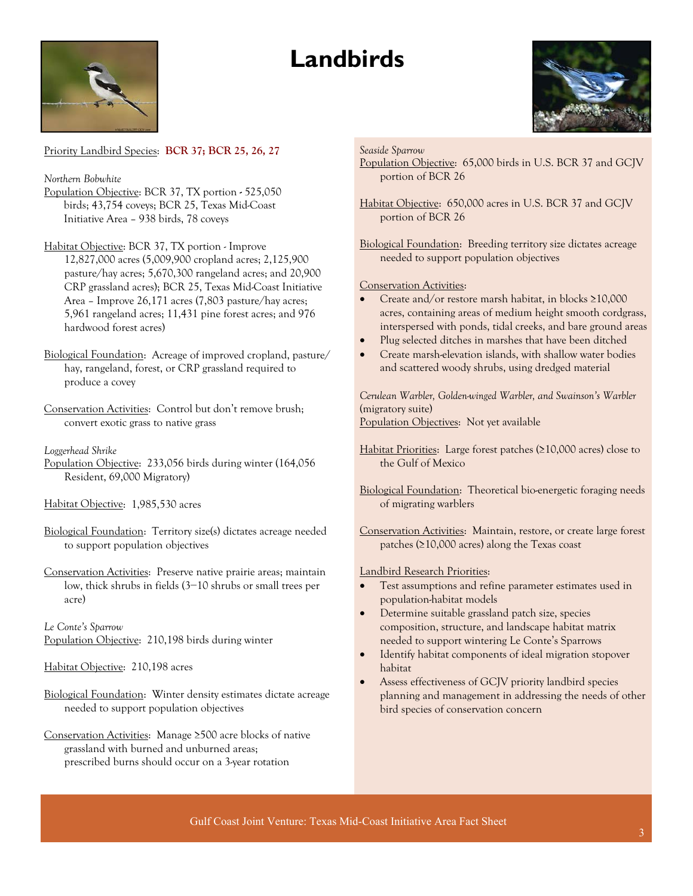## **Landbirds**



#### Priority Landbird Species: **[BCR 37;](http://www.gcjv.org/docs/Coastal_Prairies_BCR37_Landbird_Plan.pdf) [BCR 25, 26, 27](http://gcjv.org/docs/GCJV_BCR25_26_27_landbird_plan_Vers_1.doc)**

*Northern Bobwhite* 

- Population Objective: BCR 37, TX portion525,050 birds; 43,754 coveys; BCR 25, Texas Mid-Coast Initiative Area – 938 birds, 78 coveys
- Habitat Objective: BCR 37, TX portion Improve 12,827,000 acres (5,009,900 cropland acres; 2,125,900 pasture/hay acres; 5,670,300 rangeland acres; and 20,900 CRP grassland acres); BCR 25, Texas Mid-Coast Initiative Area – Improve 26,171 acres (7,803 pasture/hay acres; 5,961 rangeland acres; 11,431 pine forest acres; and 976 hardwood forest acres)
- Biological Foundation: Acreage of improved cropland, pasture/ hay, rangeland, forest, or CRP grassland required to produce a covey
- Conservation Activities:Control but don't remove brush; convert exotic grass to native grass

#### *Loggerhead Shrike*

- Population Objective:233,056 birds during winter (164,056 Resident, 69,000 Migratory)
- Habitat Objective:1,985,530 acres
- Biological Foundation: Territory size(s) dictates acreage needed to support population objectives
- Conservation Activities:Preserve native prairie areas; maintain low, thick shrubs in fields (3−10 shrubs or small trees per acre)

*Le Conte's Sparrow*  Population Objective:210,198 birds during winter

Habitat Objective:210,198 acres

- Biological Foundation: Winter density estimates dictate acreage needed to support population objectives
- Conservation Activities:Manage ≥500 acre blocks of native grassland with burned and unburned areas; prescribed burns should occur on a 3-year rotation

#### *Seaside Sparrow*

- Population Objective:65,000 birds in U.S. BCR 37 and GCJV portion of BCR 26
- Habitat Objective:650,000 acres in U.S. BCR 37 and GCJV portion of BCR 26
- Biological Foundation: Breeding territory size dictates acreage needed to support population objectives

#### Conservation Activities:

- Create and/or restore marsh habitat, in blocks ≥10,000 acres, containing areas of medium height smooth cordgrass, interspersed with ponds, tidal creeks, and bare ground areas
- Plug selected ditches in marshes that have been ditched
- Create marsh-elevation islands, with shallow water bodies and scattered woody shrubs, using dredged material

*Cerulean Warbler, Golden-winged Warbler, and Swainson's Warbler*  (migratory suite) Population Objectives:Not yet available

Habitat Priorities:Large forest patches (≥10,000 acres) close to the Gulf of Mexico

Biological Foundation: Theoretical bio-energetic foraging needs of migrating warblers

Conservation Activities:Maintain, restore, or create large forest patches (≥10,000 acres) along the Texas coast

#### Landbird Research Priorities:

- Test assumptions and refine parameter estimates used in population-habitat models
- Determine suitable grassland patch size, species composition, structure, and landscape habitat matrix needed to support wintering Le Conte's Sparrows
- Identify habitat components of ideal migration stopover habitat
- Assess effectiveness of GCJV priority landbird species planning and management in addressing the needs of other bird species of conservation concern